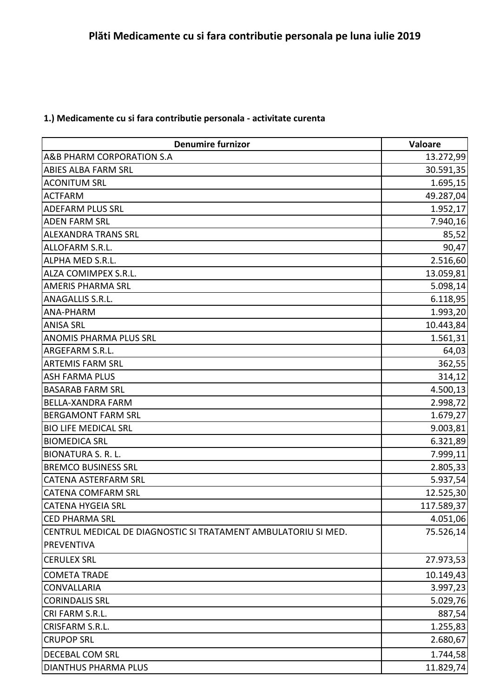## **1.) Medicamente cu si fara contributie personala - activitate curenta**

| <b>Denumire furnizor</b>                                       | Valoare    |
|----------------------------------------------------------------|------------|
| A&B PHARM CORPORATION S.A                                      | 13.272,99  |
| ABIES ALBA FARM SRL                                            | 30.591,35  |
| <b>ACONITUM SRL</b>                                            | 1.695,15   |
| <b>ACTFARM</b>                                                 | 49.287,04  |
| <b>ADEFARM PLUS SRL</b>                                        | 1.952,17   |
| <b>ADEN FARM SRL</b>                                           | 7.940,16   |
| <b>ALEXANDRA TRANS SRL</b>                                     | 85,52      |
| ALLOFARM S.R.L.                                                | 90,47      |
| ALPHA MED S.R.L.                                               | 2.516,60   |
| ALZA COMIMPEX S.R.L.                                           | 13.059,81  |
| <b>AMERIS PHARMA SRL</b>                                       | 5.098,14   |
| ANAGALLIS S.R.L.                                               | 6.118,95   |
| ANA-PHARM                                                      | 1.993,20   |
| <b>ANISA SRL</b>                                               | 10.443,84  |
| <b>ANOMIS PHARMA PLUS SRL</b>                                  | 1.561,31   |
| ARGEFARM S.R.L.                                                | 64,03      |
| <b>ARTEMIS FARM SRL</b>                                        | 362,55     |
| <b>ASH FARMA PLUS</b>                                          | 314,12     |
| <b>BASARAB FARM SRL</b>                                        | 4.500,13   |
| <b>BELLA-XANDRA FARM</b>                                       | 2.998,72   |
| <b>BERGAMONT FARM SRL</b>                                      | 1.679,27   |
| <b>BIO LIFE MEDICAL SRL</b>                                    | 9.003,81   |
| <b>BIOMEDICA SRL</b>                                           | 6.321,89   |
| <b>BIONATURA S. R. L.</b>                                      | 7.999,11   |
| <b>BREMCO BUSINESS SRL</b>                                     | 2.805,33   |
| <b>CATENA ASTERFARM SRL</b>                                    | 5.937,54   |
| <b>CATENA COMFARM SRL</b>                                      | 12.525,30  |
| <b>CATENA HYGEIA SRL</b>                                       | 117.589,37 |
| <b>CED PHARMA SRL</b>                                          | 4.051,06   |
| CENTRUL MEDICAL DE DIAGNOSTIC SI TRATAMENT AMBULATORIU SI MED. | 75.526,14  |
| <b>PREVENTIVA</b>                                              |            |
| <b>CERULEX SRL</b>                                             | 27.973,53  |
| <b>COMETA TRADE</b>                                            | 10.149,43  |
| <b>CONVALLARIA</b>                                             | 3.997,23   |
| <b>CORINDALIS SRL</b>                                          | 5.029,76   |
| CRI FARM S.R.L.                                                | 887,54     |
| CRISFARM S.R.L.                                                | 1.255,83   |
| <b>CRUPOP SRL</b>                                              | 2.680,67   |
| DECEBAL COM SRL                                                | 1.744,58   |
| <b>DIANTHUS PHARMA PLUS</b>                                    | 11.829,74  |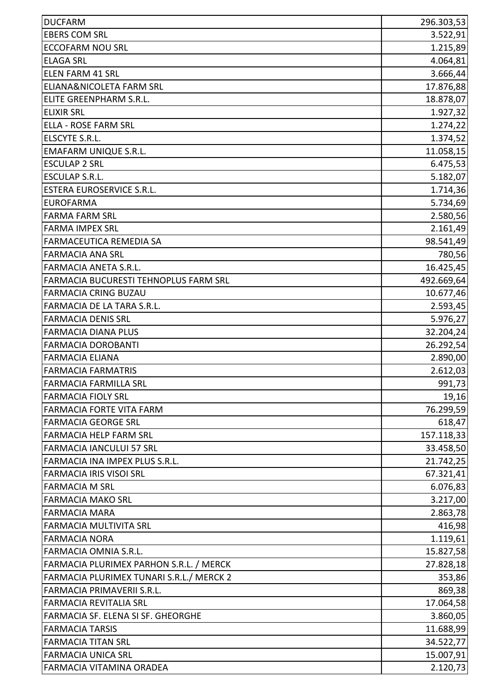| <b>DUCFARM</b>                           | 296.303,53 |
|------------------------------------------|------------|
| <b>EBERS COM SRL</b>                     | 3.522,91   |
| <b>ECCOFARM NOU SRL</b>                  | 1.215,89   |
| <b>ELAGA SRL</b>                         | 4.064,81   |
| <b>ELEN FARM 41 SRL</b>                  | 3.666,44   |
| ELIANA&NICOLETA FARM SRL                 | 17.876,88  |
| ELITE GREENPHARM S.R.L.                  | 18.878,07  |
| <b>ELIXIR SRL</b>                        | 1.927,32   |
| ELLA - ROSE FARM SRL                     | 1.274, 22  |
| ELSCYTE S.R.L.                           | 1.374,52   |
| <b>EMAFARM UNIQUE S.R.L.</b>             | 11.058,15  |
| <b>ESCULAP 2 SRL</b>                     | 6.475,53   |
| <b>ESCULAP S.R.L.</b>                    | 5.182,07   |
| <b>ESTERA EUROSERVICE S.R.L.</b>         | 1.714,36   |
| <b>EUROFARMA</b>                         | 5.734,69   |
| <b>FARMA FARM SRL</b>                    | 2.580,56   |
| <b>FARMA IMPEX SRL</b>                   | 2.161,49   |
| FARMACEUTICA REMEDIA SA                  | 98.541,49  |
| <b>FARMACIA ANA SRL</b>                  | 780,56     |
| <b>FARMACIA ANETA S.R.L.</b>             | 16.425,45  |
| FARMACIA BUCURESTI TEHNOPLUS FARM SRL    | 492.669,64 |
| <b>FARMACIA CRING BUZAU</b>              | 10.677,46  |
| FARMACIA DE LA TARA S.R.L.               | 2.593,45   |
| <b>FARMACIA DENIS SRL</b>                | 5.976,27   |
| <b>FARMACIA DIANA PLUS</b>               | 32.204,24  |
| <b>FARMACIA DOROBANTI</b>                | 26.292,54  |
| <b>FARMACIA ELIANA</b>                   | 2.890,00   |
| <b>FARMACIA FARMATRIS</b>                | 2.612,03   |
| FARMACIA FARMILLA SRL                    | 991,73     |
| <b>FARMACIA FIOLY SRL</b>                | 19,16      |
| <b>FARMACIA FORTE VITA FARM</b>          | 76.299,59  |
| <b>FARMACIA GEORGE SRL</b>               | 618,47     |
| <b>FARMACIA HELP FARM SRL</b>            | 157.118,33 |
| <b>FARMACIA IANCULUI 57 SRL</b>          | 33.458,50  |
| FARMACIA INA IMPEX PLUS S.R.L.           | 21.742,25  |
| <b>FARMACIA IRIS VISOI SRL</b>           | 67.321,41  |
| <b>FARMACIA M SRL</b>                    | 6.076,83   |
| <b>FARMACIA MAKO SRL</b>                 | 3.217,00   |
| <b>FARMACIA MARA</b>                     | 2.863,78   |
| <b>FARMACIA MULTIVITA SRL</b>            | 416,98     |
| <b>FARMACIA NORA</b>                     | 1.119,61   |
| <b>FARMACIA OMNIA S.R.L.</b>             | 15.827,58  |
| FARMACIA PLURIMEX PARHON S.R.L. / MERCK  | 27.828,18  |
| FARMACIA PLURIMEX TUNARI S.R.L./ MERCK 2 | 353,86     |
| FARMACIA PRIMAVERII S.R.L.               | 869,38     |
| <b>FARMACIA REVITALIA SRL</b>            | 17.064,58  |
| FARMACIA SF. ELENA SI SF. GHEORGHE       | 3.860,05   |
| <b>FARMACIA TARSIS</b>                   | 11.688,99  |
| <b>FARMACIA TITAN SRL</b>                | 34.522,77  |
| <b>FARMACIA UNICA SRL</b>                | 15.007,91  |
| FARMACIA VITAMINA ORADEA                 | 2.120,73   |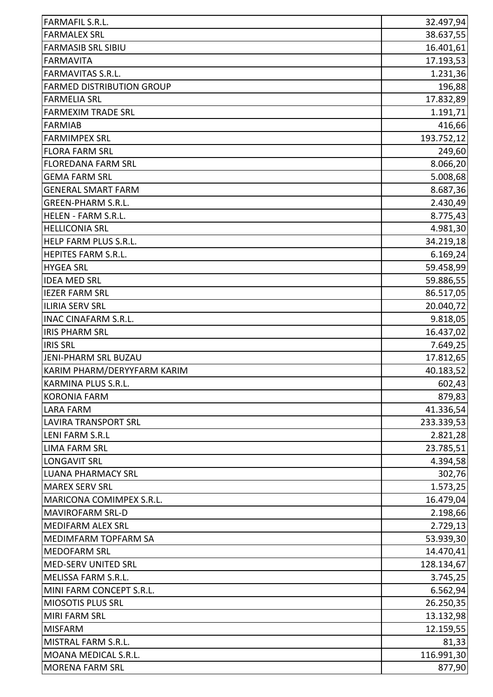| <b>FARMALEX SRL</b><br>38.637,55<br><b>FARMASIB SRL SIBIU</b><br>16.401,61<br><b>FARMAVITA</b><br>17.193,53<br><b>FARMAVITAS S.R.L.</b><br>1.231,36<br><b>FARMED DISTRIBUTION GROUP</b><br>196,88<br><b>FARMELIA SRL</b><br>17.832,89<br>1.191, 71<br><b>FARMEXIM TRADE SRL</b><br><b>FARMIAB</b><br>416,66<br>193.752,12<br><b>FARMIMPEX SRL</b><br><b>FLORA FARM SRL</b><br>249,60<br>8.066,20<br><b>FLOREDANA FARM SRL</b><br>5.008,68<br><b>GEMA FARM SRL</b><br><b>GENERAL SMART FARM</b><br>8.687,36<br>2.430,49<br><b>GREEN-PHARM S.R.L.</b><br>8.775,43<br>HELEN - FARM S.R.L.<br><b>HELLICONIA SRL</b><br>4.981,30<br>HELP FARM PLUS S.R.L.<br>34.219,18<br><b>HEPITES FARM S.R.L.</b><br>6.169,24<br><b>HYGEA SRL</b><br>59.458,99<br><b>IDEA MED SRL</b><br>59.886,55<br><b>IEZER FARM SRL</b><br>86.517,05<br>20.040,72<br><b>ILIRIA SERV SRL</b><br><b>INAC CINAFARM S.R.L.</b><br>9.818,05<br><b>IRIS PHARM SRL</b><br>16.437,02<br><b>IRIS SRL</b><br>7.649,25<br>JENI-PHARM SRL BUZAU<br>17.812,65<br>KARIM PHARM/DERYYFARM KARIM<br>40.183,52<br>602,43<br><b>KARMINA PLUS S.R.L</b><br><b>KORONIA FARM</b><br>879,83<br><b>LARA FARM</b><br>41.336,54<br>233.339,53<br><b>LAVIRA TRANSPORT SRL</b><br><b>LENI FARM S.R.L</b><br>2.821,28<br><b>LIMA FARM SRL</b><br>23.785,51<br>4.394,58<br><b>LONGAVIT SRL</b><br><b>LUANA PHARMACY SRL</b><br>302,76<br><b>MAREX SERV SRL</b><br>1.573,25<br>MARICONA COMIMPEX S.R.L.<br>16.479,04<br>2.198,66<br><b>MAVIROFARM SRL-D</b><br>2.729,13<br><b>MEDIFARM ALEX SRL</b><br>53.939,30<br>MEDIMFARM TOPFARM SA<br><b>MEDOFARM SRL</b><br>14.470,41<br>MED-SERV UNITED SRL<br>128.134,67<br>MELISSA FARM S.R.L.<br>3.745,25<br>MINI FARM CONCEPT S.R.L.<br>6.562,94<br>MIOSOTIS PLUS SRL<br>26.250,35<br>13.132,98<br><b>MIRI FARM SRL</b><br><b>MISFARM</b><br>12.159,55<br>MISTRAL FARM S.R.L.<br>81,33<br>MOANA MEDICAL S.R.L.<br><b>MORENA FARM SRL</b> | <b>FARMAFIL S.R.L.</b> | 32.497,94 |
|-------------------------------------------------------------------------------------------------------------------------------------------------------------------------------------------------------------------------------------------------------------------------------------------------------------------------------------------------------------------------------------------------------------------------------------------------------------------------------------------------------------------------------------------------------------------------------------------------------------------------------------------------------------------------------------------------------------------------------------------------------------------------------------------------------------------------------------------------------------------------------------------------------------------------------------------------------------------------------------------------------------------------------------------------------------------------------------------------------------------------------------------------------------------------------------------------------------------------------------------------------------------------------------------------------------------------------------------------------------------------------------------------------------------------------------------------------------------------------------------------------------------------------------------------------------------------------------------------------------------------------------------------------------------------------------------------------------------------------------------------------------------------------------------------------------------------------------------------------------------------------------------------------------------------|------------------------|-----------|
|                                                                                                                                                                                                                                                                                                                                                                                                                                                                                                                                                                                                                                                                                                                                                                                                                                                                                                                                                                                                                                                                                                                                                                                                                                                                                                                                                                                                                                                                                                                                                                                                                                                                                                                                                                                                                                                                                                                         |                        |           |
|                                                                                                                                                                                                                                                                                                                                                                                                                                                                                                                                                                                                                                                                                                                                                                                                                                                                                                                                                                                                                                                                                                                                                                                                                                                                                                                                                                                                                                                                                                                                                                                                                                                                                                                                                                                                                                                                                                                         |                        |           |
|                                                                                                                                                                                                                                                                                                                                                                                                                                                                                                                                                                                                                                                                                                                                                                                                                                                                                                                                                                                                                                                                                                                                                                                                                                                                                                                                                                                                                                                                                                                                                                                                                                                                                                                                                                                                                                                                                                                         |                        |           |
|                                                                                                                                                                                                                                                                                                                                                                                                                                                                                                                                                                                                                                                                                                                                                                                                                                                                                                                                                                                                                                                                                                                                                                                                                                                                                                                                                                                                                                                                                                                                                                                                                                                                                                                                                                                                                                                                                                                         |                        |           |
|                                                                                                                                                                                                                                                                                                                                                                                                                                                                                                                                                                                                                                                                                                                                                                                                                                                                                                                                                                                                                                                                                                                                                                                                                                                                                                                                                                                                                                                                                                                                                                                                                                                                                                                                                                                                                                                                                                                         |                        |           |
|                                                                                                                                                                                                                                                                                                                                                                                                                                                                                                                                                                                                                                                                                                                                                                                                                                                                                                                                                                                                                                                                                                                                                                                                                                                                                                                                                                                                                                                                                                                                                                                                                                                                                                                                                                                                                                                                                                                         |                        |           |
|                                                                                                                                                                                                                                                                                                                                                                                                                                                                                                                                                                                                                                                                                                                                                                                                                                                                                                                                                                                                                                                                                                                                                                                                                                                                                                                                                                                                                                                                                                                                                                                                                                                                                                                                                                                                                                                                                                                         |                        |           |
|                                                                                                                                                                                                                                                                                                                                                                                                                                                                                                                                                                                                                                                                                                                                                                                                                                                                                                                                                                                                                                                                                                                                                                                                                                                                                                                                                                                                                                                                                                                                                                                                                                                                                                                                                                                                                                                                                                                         |                        |           |
|                                                                                                                                                                                                                                                                                                                                                                                                                                                                                                                                                                                                                                                                                                                                                                                                                                                                                                                                                                                                                                                                                                                                                                                                                                                                                                                                                                                                                                                                                                                                                                                                                                                                                                                                                                                                                                                                                                                         |                        |           |
|                                                                                                                                                                                                                                                                                                                                                                                                                                                                                                                                                                                                                                                                                                                                                                                                                                                                                                                                                                                                                                                                                                                                                                                                                                                                                                                                                                                                                                                                                                                                                                                                                                                                                                                                                                                                                                                                                                                         |                        |           |
|                                                                                                                                                                                                                                                                                                                                                                                                                                                                                                                                                                                                                                                                                                                                                                                                                                                                                                                                                                                                                                                                                                                                                                                                                                                                                                                                                                                                                                                                                                                                                                                                                                                                                                                                                                                                                                                                                                                         |                        |           |
|                                                                                                                                                                                                                                                                                                                                                                                                                                                                                                                                                                                                                                                                                                                                                                                                                                                                                                                                                                                                                                                                                                                                                                                                                                                                                                                                                                                                                                                                                                                                                                                                                                                                                                                                                                                                                                                                                                                         |                        |           |
|                                                                                                                                                                                                                                                                                                                                                                                                                                                                                                                                                                                                                                                                                                                                                                                                                                                                                                                                                                                                                                                                                                                                                                                                                                                                                                                                                                                                                                                                                                                                                                                                                                                                                                                                                                                                                                                                                                                         |                        |           |
|                                                                                                                                                                                                                                                                                                                                                                                                                                                                                                                                                                                                                                                                                                                                                                                                                                                                                                                                                                                                                                                                                                                                                                                                                                                                                                                                                                                                                                                                                                                                                                                                                                                                                                                                                                                                                                                                                                                         |                        |           |
|                                                                                                                                                                                                                                                                                                                                                                                                                                                                                                                                                                                                                                                                                                                                                                                                                                                                                                                                                                                                                                                                                                                                                                                                                                                                                                                                                                                                                                                                                                                                                                                                                                                                                                                                                                                                                                                                                                                         |                        |           |
|                                                                                                                                                                                                                                                                                                                                                                                                                                                                                                                                                                                                                                                                                                                                                                                                                                                                                                                                                                                                                                                                                                                                                                                                                                                                                                                                                                                                                                                                                                                                                                                                                                                                                                                                                                                                                                                                                                                         |                        |           |
|                                                                                                                                                                                                                                                                                                                                                                                                                                                                                                                                                                                                                                                                                                                                                                                                                                                                                                                                                                                                                                                                                                                                                                                                                                                                                                                                                                                                                                                                                                                                                                                                                                                                                                                                                                                                                                                                                                                         |                        |           |
|                                                                                                                                                                                                                                                                                                                                                                                                                                                                                                                                                                                                                                                                                                                                                                                                                                                                                                                                                                                                                                                                                                                                                                                                                                                                                                                                                                                                                                                                                                                                                                                                                                                                                                                                                                                                                                                                                                                         |                        |           |
|                                                                                                                                                                                                                                                                                                                                                                                                                                                                                                                                                                                                                                                                                                                                                                                                                                                                                                                                                                                                                                                                                                                                                                                                                                                                                                                                                                                                                                                                                                                                                                                                                                                                                                                                                                                                                                                                                                                         |                        |           |
|                                                                                                                                                                                                                                                                                                                                                                                                                                                                                                                                                                                                                                                                                                                                                                                                                                                                                                                                                                                                                                                                                                                                                                                                                                                                                                                                                                                                                                                                                                                                                                                                                                                                                                                                                                                                                                                                                                                         |                        |           |
|                                                                                                                                                                                                                                                                                                                                                                                                                                                                                                                                                                                                                                                                                                                                                                                                                                                                                                                                                                                                                                                                                                                                                                                                                                                                                                                                                                                                                                                                                                                                                                                                                                                                                                                                                                                                                                                                                                                         |                        |           |
|                                                                                                                                                                                                                                                                                                                                                                                                                                                                                                                                                                                                                                                                                                                                                                                                                                                                                                                                                                                                                                                                                                                                                                                                                                                                                                                                                                                                                                                                                                                                                                                                                                                                                                                                                                                                                                                                                                                         |                        |           |
|                                                                                                                                                                                                                                                                                                                                                                                                                                                                                                                                                                                                                                                                                                                                                                                                                                                                                                                                                                                                                                                                                                                                                                                                                                                                                                                                                                                                                                                                                                                                                                                                                                                                                                                                                                                                                                                                                                                         |                        |           |
|                                                                                                                                                                                                                                                                                                                                                                                                                                                                                                                                                                                                                                                                                                                                                                                                                                                                                                                                                                                                                                                                                                                                                                                                                                                                                                                                                                                                                                                                                                                                                                                                                                                                                                                                                                                                                                                                                                                         |                        |           |
|                                                                                                                                                                                                                                                                                                                                                                                                                                                                                                                                                                                                                                                                                                                                                                                                                                                                                                                                                                                                                                                                                                                                                                                                                                                                                                                                                                                                                                                                                                                                                                                                                                                                                                                                                                                                                                                                                                                         |                        |           |
|                                                                                                                                                                                                                                                                                                                                                                                                                                                                                                                                                                                                                                                                                                                                                                                                                                                                                                                                                                                                                                                                                                                                                                                                                                                                                                                                                                                                                                                                                                                                                                                                                                                                                                                                                                                                                                                                                                                         |                        |           |
|                                                                                                                                                                                                                                                                                                                                                                                                                                                                                                                                                                                                                                                                                                                                                                                                                                                                                                                                                                                                                                                                                                                                                                                                                                                                                                                                                                                                                                                                                                                                                                                                                                                                                                                                                                                                                                                                                                                         |                        |           |
|                                                                                                                                                                                                                                                                                                                                                                                                                                                                                                                                                                                                                                                                                                                                                                                                                                                                                                                                                                                                                                                                                                                                                                                                                                                                                                                                                                                                                                                                                                                                                                                                                                                                                                                                                                                                                                                                                                                         |                        |           |
|                                                                                                                                                                                                                                                                                                                                                                                                                                                                                                                                                                                                                                                                                                                                                                                                                                                                                                                                                                                                                                                                                                                                                                                                                                                                                                                                                                                                                                                                                                                                                                                                                                                                                                                                                                                                                                                                                                                         |                        |           |
|                                                                                                                                                                                                                                                                                                                                                                                                                                                                                                                                                                                                                                                                                                                                                                                                                                                                                                                                                                                                                                                                                                                                                                                                                                                                                                                                                                                                                                                                                                                                                                                                                                                                                                                                                                                                                                                                                                                         |                        |           |
|                                                                                                                                                                                                                                                                                                                                                                                                                                                                                                                                                                                                                                                                                                                                                                                                                                                                                                                                                                                                                                                                                                                                                                                                                                                                                                                                                                                                                                                                                                                                                                                                                                                                                                                                                                                                                                                                                                                         |                        |           |
|                                                                                                                                                                                                                                                                                                                                                                                                                                                                                                                                                                                                                                                                                                                                                                                                                                                                                                                                                                                                                                                                                                                                                                                                                                                                                                                                                                                                                                                                                                                                                                                                                                                                                                                                                                                                                                                                                                                         |                        |           |
|                                                                                                                                                                                                                                                                                                                                                                                                                                                                                                                                                                                                                                                                                                                                                                                                                                                                                                                                                                                                                                                                                                                                                                                                                                                                                                                                                                                                                                                                                                                                                                                                                                                                                                                                                                                                                                                                                                                         |                        |           |
|                                                                                                                                                                                                                                                                                                                                                                                                                                                                                                                                                                                                                                                                                                                                                                                                                                                                                                                                                                                                                                                                                                                                                                                                                                                                                                                                                                                                                                                                                                                                                                                                                                                                                                                                                                                                                                                                                                                         |                        |           |
|                                                                                                                                                                                                                                                                                                                                                                                                                                                                                                                                                                                                                                                                                                                                                                                                                                                                                                                                                                                                                                                                                                                                                                                                                                                                                                                                                                                                                                                                                                                                                                                                                                                                                                                                                                                                                                                                                                                         |                        |           |
|                                                                                                                                                                                                                                                                                                                                                                                                                                                                                                                                                                                                                                                                                                                                                                                                                                                                                                                                                                                                                                                                                                                                                                                                                                                                                                                                                                                                                                                                                                                                                                                                                                                                                                                                                                                                                                                                                                                         |                        |           |
|                                                                                                                                                                                                                                                                                                                                                                                                                                                                                                                                                                                                                                                                                                                                                                                                                                                                                                                                                                                                                                                                                                                                                                                                                                                                                                                                                                                                                                                                                                                                                                                                                                                                                                                                                                                                                                                                                                                         |                        |           |
|                                                                                                                                                                                                                                                                                                                                                                                                                                                                                                                                                                                                                                                                                                                                                                                                                                                                                                                                                                                                                                                                                                                                                                                                                                                                                                                                                                                                                                                                                                                                                                                                                                                                                                                                                                                                                                                                                                                         |                        |           |
|                                                                                                                                                                                                                                                                                                                                                                                                                                                                                                                                                                                                                                                                                                                                                                                                                                                                                                                                                                                                                                                                                                                                                                                                                                                                                                                                                                                                                                                                                                                                                                                                                                                                                                                                                                                                                                                                                                                         |                        |           |
|                                                                                                                                                                                                                                                                                                                                                                                                                                                                                                                                                                                                                                                                                                                                                                                                                                                                                                                                                                                                                                                                                                                                                                                                                                                                                                                                                                                                                                                                                                                                                                                                                                                                                                                                                                                                                                                                                                                         |                        |           |
|                                                                                                                                                                                                                                                                                                                                                                                                                                                                                                                                                                                                                                                                                                                                                                                                                                                                                                                                                                                                                                                                                                                                                                                                                                                                                                                                                                                                                                                                                                                                                                                                                                                                                                                                                                                                                                                                                                                         |                        |           |
|                                                                                                                                                                                                                                                                                                                                                                                                                                                                                                                                                                                                                                                                                                                                                                                                                                                                                                                                                                                                                                                                                                                                                                                                                                                                                                                                                                                                                                                                                                                                                                                                                                                                                                                                                                                                                                                                                                                         |                        |           |
|                                                                                                                                                                                                                                                                                                                                                                                                                                                                                                                                                                                                                                                                                                                                                                                                                                                                                                                                                                                                                                                                                                                                                                                                                                                                                                                                                                                                                                                                                                                                                                                                                                                                                                                                                                                                                                                                                                                         |                        |           |
|                                                                                                                                                                                                                                                                                                                                                                                                                                                                                                                                                                                                                                                                                                                                                                                                                                                                                                                                                                                                                                                                                                                                                                                                                                                                                                                                                                                                                                                                                                                                                                                                                                                                                                                                                                                                                                                                                                                         |                        |           |
|                                                                                                                                                                                                                                                                                                                                                                                                                                                                                                                                                                                                                                                                                                                                                                                                                                                                                                                                                                                                                                                                                                                                                                                                                                                                                                                                                                                                                                                                                                                                                                                                                                                                                                                                                                                                                                                                                                                         |                        |           |
|                                                                                                                                                                                                                                                                                                                                                                                                                                                                                                                                                                                                                                                                                                                                                                                                                                                                                                                                                                                                                                                                                                                                                                                                                                                                                                                                                                                                                                                                                                                                                                                                                                                                                                                                                                                                                                                                                                                         |                        |           |
|                                                                                                                                                                                                                                                                                                                                                                                                                                                                                                                                                                                                                                                                                                                                                                                                                                                                                                                                                                                                                                                                                                                                                                                                                                                                                                                                                                                                                                                                                                                                                                                                                                                                                                                                                                                                                                                                                                                         |                        |           |
| 116.991,30<br>877,90                                                                                                                                                                                                                                                                                                                                                                                                                                                                                                                                                                                                                                                                                                                                                                                                                                                                                                                                                                                                                                                                                                                                                                                                                                                                                                                                                                                                                                                                                                                                                                                                                                                                                                                                                                                                                                                                                                    |                        |           |
|                                                                                                                                                                                                                                                                                                                                                                                                                                                                                                                                                                                                                                                                                                                                                                                                                                                                                                                                                                                                                                                                                                                                                                                                                                                                                                                                                                                                                                                                                                                                                                                                                                                                                                                                                                                                                                                                                                                         |                        |           |
|                                                                                                                                                                                                                                                                                                                                                                                                                                                                                                                                                                                                                                                                                                                                                                                                                                                                                                                                                                                                                                                                                                                                                                                                                                                                                                                                                                                                                                                                                                                                                                                                                                                                                                                                                                                                                                                                                                                         |                        |           |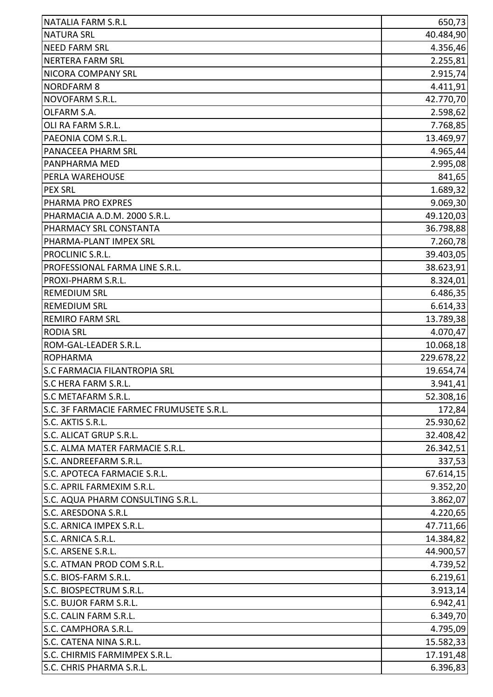| <b>NATALIA FARM S.R.L</b>                | 650,73     |
|------------------------------------------|------------|
| <b>NATURA SRL</b>                        | 40.484,90  |
| <b>NEED FARM SRL</b>                     | 4.356,46   |
| <b>NERTERA FARM SRL</b>                  | 2.255,81   |
| NICORA COMPANY SRL                       | 2.915,74   |
| <b>NORDFARM 8</b>                        | 4.411,91   |
| NOVOFARM S.R.L.                          | 42.770,70  |
| OLFARM S.A.                              | 2.598,62   |
| OLI RA FARM S.R.L.                       | 7.768,85   |
| PAEONIA COM S.R.L.                       | 13.469,97  |
| PANACEEA PHARM SRL                       | 4.965,44   |
| PANPHARMA MED                            | 2.995,08   |
| PERLA WAREHOUSE                          | 841,65     |
| <b>PEX SRL</b>                           | 1.689,32   |
| PHARMA PRO EXPRES                        | 9.069,30   |
| PHARMACIA A.D.M. 2000 S.R.L.             | 49.120,03  |
| PHARMACY SRL CONSTANTA                   | 36.798,88  |
| PHARMA-PLANT IMPEX SRL                   | 7.260,78   |
| PROCLINIC S.R.L.                         | 39.403,05  |
| PROFESSIONAL FARMA LINE S.R.L.           | 38.623,91  |
| PROXI-PHARM S.R.L.                       | 8.324,01   |
| <b>REMEDIUM SRL</b>                      | 6.486,35   |
| <b>REMEDIUM SRL</b>                      | 6.614,33   |
| <b>REMIRO FARM SRL</b>                   | 13.789,38  |
| <b>RODIA SRL</b>                         | 4.070,47   |
| ROM-GAL-LEADER S.R.L.                    | 10.068,18  |
| <b>ROPHARMA</b>                          | 229.678,22 |
| <b>S.C FARMACIA FILANTROPIA SRL</b>      | 19.654,74  |
| <b>S.C HERA FARM S.R.L.</b>              | 3.941,41   |
| S.C METAFARM S.R.L.                      | 52.308,16  |
| S.C. 3F FARMACIE FARMEC FRUMUSETE S.R.L. | 172,84     |
| S.C. AKTIS S.R.L.                        | 25.930,62  |
| S.C. ALICAT GRUP S.R.L.                  | 32.408,42  |
| S.C. ALMA MATER FARMACIE S.R.L.          | 26.342,51  |
| S.C. ANDREEFARM S.R.L.                   | 337,53     |
| S.C. APOTECA FARMACIE S.R.L.             | 67.614,15  |
| S.C. APRIL FARMEXIM S.R.L.               | 9.352,20   |
| S.C. AQUA PHARM CONSULTING S.R.L.        | 3.862,07   |
| <b>S.C. ARESDONA S.R.L</b>               | 4.220,65   |
| S.C. ARNICA IMPEX S.R.L.                 | 47.711,66  |
| S.C. ARNICA S.R.L.                       | 14.384,82  |
| S.C. ARSENE S.R.L.                       | 44.900,57  |
| S.C. ATMAN PROD COM S.R.L.               | 4.739,52   |
| S.C. BIOS-FARM S.R.L.                    | 6.219,61   |
| S.C. BIOSPECTRUM S.R.L.                  | 3.913,14   |
| S.C. BUJOR FARM S.R.L.                   | 6.942,41   |
| S.C. CALIN FARM S.R.L.                   | 6.349,70   |
| S.C. CAMPHORA S.R.L.                     | 4.795,09   |
| S.C. CATENA NINA S.R.L.                  | 15.582,33  |
| S.C. CHIRMIS FARMIMPEX S.R.L.            | 17.191,48  |
| S.C. CHRIS PHARMA S.R.L.                 | 6.396,83   |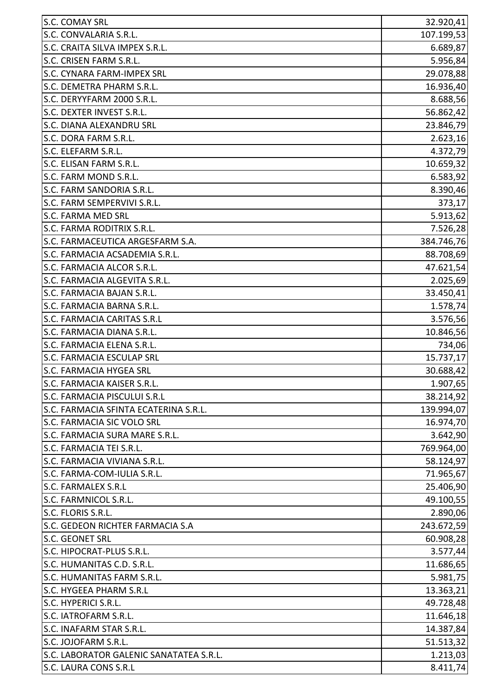| S.C. COMAY SRL                          | 32.920,41  |
|-----------------------------------------|------------|
| S.C. CONVALARIA S.R.L.                  | 107.199,53 |
| S.C. CRAITA SILVA IMPEX S.R.L.          | 6.689,87   |
| S.C. CRISEN FARM S.R.L.                 | 5.956,84   |
| S.C. CYNARA FARM-IMPEX SRL              | 29.078,88  |
| S.C. DEMETRA PHARM S.R.L.               | 16.936,40  |
| S.C. DERYYFARM 2000 S.R.L.              | 8.688,56   |
| S.C. DEXTER INVEST S.R.L.               | 56.862,42  |
| <b>S.C. DIANA ALEXANDRU SRL</b>         | 23.846,79  |
| S.C. DORA FARM S.R.L.                   | 2.623,16   |
| S.C. ELEFARM S.R.L.                     | 4.372,79   |
| S.C. ELISAN FARM S.R.L.                 | 10.659,32  |
| S.C. FARM MOND S.R.L.                   | 6.583,92   |
| S.C. FARM SANDORIA S.R.L.               | 8.390,46   |
| S.C. FARM SEMPERVIVI S.R.L.             | 373,17     |
| <b>S.C. FARMA MED SRL</b>               | 5.913,62   |
| S.C. FARMA RODITRIX S.R.L.              | 7.526,28   |
| S.C. FARMACEUTICA ARGESFARM S.A.        | 384.746,76 |
| S.C. FARMACIA ACSADEMIA S.R.L.          | 88.708,69  |
| S.C. FARMACIA ALCOR S.R.L.              | 47.621,54  |
| S.C. FARMACIA ALGEVITA S.R.L.           | 2.025,69   |
| S.C. FARMACIA BAJAN S.R.L.              | 33.450,41  |
| S.C. FARMACIA BARNA S.R.L.              | 1.578,74   |
| <b>S.C. FARMACIA CARITAS S.R.L</b>      | 3.576,56   |
| S.C. FARMACIA DIANA S.R.L.              | 10.846,56  |
| S.C. FARMACIA ELENA S.R.L.              | 734,06     |
| <b>S.C. FARMACIA ESCULAP SRL</b>        | 15.737,17  |
| <b>S.C. FARMACIA HYGEA SRL</b>          | 30.688,42  |
| <b>S.C. FARMACIA KAISER S.R.L</b>       | 1.907,65   |
| S.C. FARMACIA PISCULUI S.R.L            | 38.214,92  |
| S.C. FARMACIA SFINTA ECATERINA S.R.L.   | 139.994,07 |
| S.C. FARMACIA SIC VOLO SRL              | 16.974,70  |
| S.C. FARMACIA SURA MARE S.R.L.          | 3.642,90   |
| S.C. FARMACIA TEI S.R.L.                | 769.964,00 |
| S.C. FARMACIA VIVIANA S.R.L.            | 58.124,97  |
| S.C. FARMA-COM-IULIA S.R.L.             | 71.965,67  |
| <b>S.C. FARMALEX S.R.L</b>              | 25.406,90  |
| S.C. FARMNICOL S.R.L.                   | 49.100,55  |
| S.C. FLORIS S.R.L.                      | 2.890,06   |
| S.C. GEDEON RICHTER FARMACIA S.A        | 243.672,59 |
| <b>S.C. GEONET SRL</b>                  | 60.908,28  |
| S.C. HIPOCRAT-PLUS S.R.L.               | 3.577,44   |
| S.C. HUMANITAS C.D. S.R.L.              | 11.686,65  |
| S.C. HUMANITAS FARM S.R.L.              | 5.981,75   |
| S.C. HYGEEA PHARM S.R.L                 | 13.363,21  |
| S.C. HYPERICI S.R.L.                    | 49.728,48  |
| S.C. IATROFARM S.R.L.                   | 11.646,18  |
| S.C. INAFARM STAR S.R.L.                | 14.387,84  |
| S.C. JOJOFARM S.R.L.                    | 51.513,32  |
| S.C. LABORATOR GALENIC SANATATEA S.R.L. | 1.213,03   |
| S.C. LAURA CONS S.R.L                   | 8.411,74   |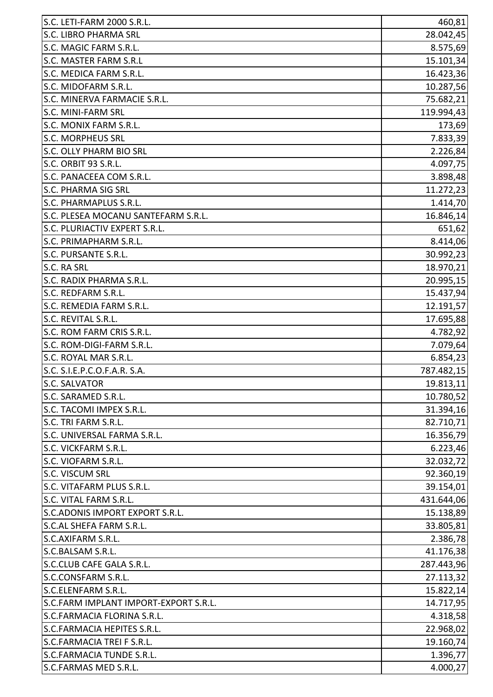| S.C. LETI-FARM 2000 S.R.L.            | 460,81     |
|---------------------------------------|------------|
| <b>S.C. LIBRO PHARMA SRL</b>          | 28.042,45  |
| S.C. MAGIC FARM S.R.L.                | 8.575,69   |
| S.C. MASTER FARM S.R.L                | 15.101,34  |
| S.C. MEDICA FARM S.R.L.               | 16.423,36  |
| S.C. MIDOFARM S.R.L.                  | 10.287,56  |
| S.C. MINERVA FARMACIE S.R.L.          | 75.682,21  |
| <b>S.C. MINI-FARM SRL</b>             | 119.994,43 |
| S.C. MONIX FARM S.R.L.                | 173,69     |
| <b>S.C. MORPHEUS SRL</b>              | 7.833,39   |
| <b>S.C. OLLY PHARM BIO SRL</b>        | 2.226,84   |
| S.C. ORBIT 93 S.R.L.                  | 4.097,75   |
| S.C. PANACEEA COM S.R.L.              | 3.898,48   |
| <b>S.C. PHARMA SIG SRL</b>            | 11.272,23  |
| S.C. PHARMAPLUS S.R.L.                | 1.414,70   |
| S.C. PLESEA MOCANU SANTEFARM S.R.L.   | 16.846,14  |
| S.C. PLURIACTIV EXPERT S.R.L.         | 651,62     |
| S.C. PRIMAPHARM S.R.L.                | 8.414,06   |
| S.C. PURSANTE S.R.L.                  | 30.992,23  |
| S.C. RA SRL                           | 18.970,21  |
| S.C. RADIX PHARMA S.R.L.              | 20.995,15  |
| S.C. REDFARM S.R.L.                   | 15.437,94  |
| S.C. REMEDIA FARM S.R.L.              | 12.191,57  |
| S.C. REVITAL S.R.L.                   | 17.695,88  |
| S.C. ROM FARM CRIS S.R.L.             | 4.782,92   |
| S.C. ROM-DIGI-FARM S.R.L.             | 7.079,64   |
| S.C. ROYAL MAR S.R.L.                 | 6.854,23   |
| S.C. S.I.E.P.C.O.F.A.R. S.A.          | 787.482,15 |
| <b>S.C. SALVATOR</b>                  | 19.813,11  |
| S.C. SARAMED S.R.L.                   | 10.780,52  |
| S.C. TACOMI IMPEX S.R.L.              | 31.394,16  |
| S.C. TRI FARM S.R.L.                  | 82.710,71  |
| S.C. UNIVERSAL FARMA S.R.L.           | 16.356,79  |
| S.C. VICKFARM S.R.L.                  | 6.223,46   |
| S.C. VIOFARM S.R.L.                   | 32.032,72  |
| <b>S.C. VISCUM SRL</b>                | 92.360,19  |
| S.C. VITAFARM PLUS S.R.L.             | 39.154,01  |
| S.C. VITAL FARM S.R.L.                | 431.644,06 |
| S.C.ADONIS IMPORT EXPORT S.R.L.       | 15.138,89  |
| S.C.AL SHEFA FARM S.R.L.              | 33.805,81  |
| <b>S.C.AXIFARM S.R.L.</b>             | 2.386,78   |
| S.C.BALSAM S.R.L.                     | 41.176,38  |
| S.C.CLUB CAFE GALA S.R.L.             | 287.443,96 |
| S.C.CONSFARM S.R.L.                   | 27.113,32  |
| S.C.ELENFARM S.R.L.                   | 15.822,14  |
| S.C.FARM IMPLANT IMPORT-EXPORT S.R.L. | 14.717,95  |
| S.C.FARMACIA FLORINA S.R.L.           | 4.318,58   |
| S.C.FARMACIA HEPITES S.R.L.           | 22.968,02  |
| S.C.FARMACIA TREI F S.R.L.            | 19.160,74  |
| S.C.FARMACIA TUNDE S.R.L.             | 1.396,77   |
| S.C.FARMAS MED S.R.L.                 | 4.000,27   |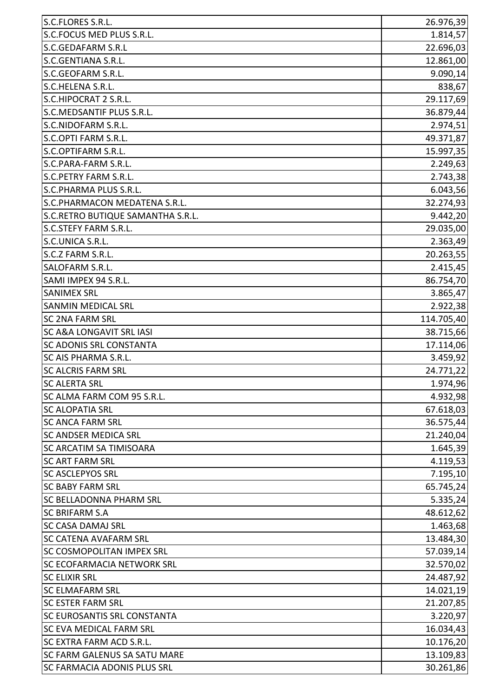| S.C.FLORES S.R.L.                   | 26.976,39  |
|-------------------------------------|------------|
| S.C.FOCUS MED PLUS S.R.L.           | 1.814,57   |
| <b>S.C.GEDAFARM S.R.L</b>           | 22.696,03  |
| S.C.GENTIANA S.R.L.                 | 12.861,00  |
| S.C.GEOFARM S.R.L.                  | 9.090,14   |
| S.C.HELENA S.R.L.                   | 838,67     |
| S.C.HIPOCRAT 2 S.R.L.               | 29.117,69  |
| S.C.MEDSANTIF PLUS S.R.L.           | 36.879,44  |
| S.C.NIDOFARM S.R.L.                 | 2.974,51   |
| S.C.OPTI FARM S.R.L.                | 49.371,87  |
| S.C.OPTIFARM S.R.L.                 | 15.997,35  |
| S.C.PARA-FARM S.R.L.                | 2.249,63   |
| <b>S.C.PETRY FARM S.R.L.</b>        | 2.743,38   |
| S.C.PHARMA PLUS S.R.L.              | 6.043,56   |
| S.C.PHARMACON MEDATENA S.R.L.       | 32.274,93  |
| S.C.RETRO BUTIQUE SAMANTHA S.R.L.   | 9.442,20   |
| <b>S.C.STEFY FARM S.R.L.</b>        | 29.035,00  |
| S.C.UNICA S.R.L.                    | 2.363,49   |
| S.C.Z FARM S.R.L.                   | 20.263,55  |
| <b>SALOFARM S.R.L.</b>              | 2.415,45   |
| SAMI IMPEX 94 S.R.L.                | 86.754,70  |
| <b>SANIMEX SRL</b>                  | 3.865,47   |
| <b>SANMIN MEDICAL SRL</b>           | 2.922,38   |
| <b>SC 2NA FARM SRL</b>              | 114.705,40 |
| <b>SC A&amp;A LONGAVIT SRL IASI</b> | 38.715,66  |
| <b>SC ADONIS SRL CONSTANTA</b>      | 17.114,06  |
| <b>SC AIS PHARMA S.R.L.</b>         | 3.459,92   |
| <b>SC ALCRIS FARM SRL</b>           | 24.771,22  |
| <b>SC ALERTA SRL</b>                | 1.974,96   |
| SC ALMA FARM COM 95 S.R.L.          | 4.932,98   |
| <b>SC ALOPATIA SRL</b>              | 67.618,03  |
| <b>SC ANCA FARM SRL</b>             | 36.575,44  |
| <b>SC ANDSER MEDICA SRL</b>         | 21.240,04  |
| <b>SC ARCATIM SA TIMISOARA</b>      | 1.645,39   |
| <b>SC ART FARM SRL</b>              | 4.119,53   |
| <b>SC ASCLEPYOS SRL</b>             | 7.195,10   |
| <b>SC BABY FARM SRL</b>             | 65.745,24  |
| <b>SC BELLADONNA PHARM SRL</b>      | 5.335,24   |
| <b>SC BRIFARM S.A</b>               | 48.612,62  |
| <b>SC CASA DAMAJ SRL</b>            | 1.463,68   |
| <b>SC CATENA AVAFARM SRL</b>        | 13.484,30  |
| <b>SC COSMOPOLITAN IMPEX SRL</b>    | 57.039,14  |
| <b>SC ECOFARMACIA NETWORK SRL</b>   | 32.570,02  |
| <b>SC ELIXIR SRL</b>                | 24.487,92  |
| <b>SC ELMAFARM SRL</b>              | 14.021,19  |
| <b>SC ESTER FARM SRL</b>            | 21.207,85  |
| <b>SC EUROSANTIS SRL CONSTANTA</b>  | 3.220,97   |
| <b>SC EVA MEDICAL FARM SRL</b>      | 16.034,43  |
| <b>SC EXTRA FARM ACD S.R.L.</b>     | 10.176,20  |
| <b>SC FARM GALENUS SA SATU MARE</b> | 13.109,83  |
| <b>SC FARMACIA ADONIS PLUS SRL</b>  | 30.261,86  |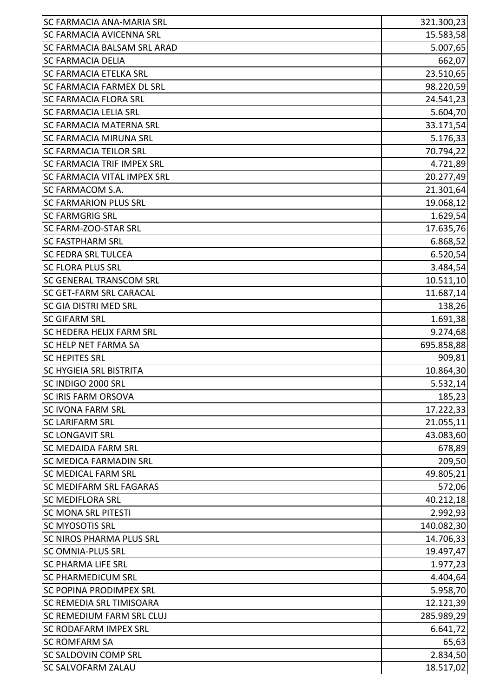| <b>SC FARMACIA ANA-MARIA SRL</b>   | 321.300,23 |
|------------------------------------|------------|
| <b>SC FARMACIA AVICENNA SRL</b>    | 15.583,58  |
| <b>SC FARMACIA BALSAM SRL ARAD</b> | 5.007,65   |
| <b>SC FARMACIA DELIA</b>           | 662,07     |
| <b>SC FARMACIA ETELKA SRL</b>      | 23.510,65  |
| <b>SC FARMACIA FARMEX DL SRL</b>   | 98.220,59  |
| <b>SC FARMACIA FLORA SRL</b>       | 24.541,23  |
| <b>SC FARMACIA LELIA SRL</b>       | 5.604,70   |
| <b>SC FARMACIA MATERNA SRL</b>     | 33.171,54  |
| <b>SC FARMACIA MIRUNA SRL</b>      | 5.176,33   |
| <b>SC FARMACIA TEILOR SRL</b>      | 70.794,22  |
| <b>SC FARMACIA TRIF IMPEX SRL</b>  | 4.721,89   |
| <b>SC FARMACIA VITAL IMPEX SRL</b> | 20.277,49  |
| <b>SC FARMACOM S.A.</b>            | 21.301,64  |
| <b>SC FARMARION PLUS SRL</b>       | 19.068,12  |
| <b>SC FARMGRIG SRL</b>             | 1.629,54   |
| SC FARM-ZOO-STAR SRL               | 17.635,76  |
| <b>SC FASTPHARM SRL</b>            | 6.868,52   |
| <b>SC FEDRA SRL TULCEA</b>         | 6.520,54   |
| <b>SC FLORA PLUS SRL</b>           | 3.484,54   |
| <b>SC GENERAL TRANSCOM SRL</b>     | 10.511,10  |
| <b>SC GET-FARM SRL CARACAL</b>     | 11.687,14  |
| <b>SC GIA DISTRI MED SRL</b>       | 138,26     |
| <b>SC GIFARM SRL</b>               | 1.691,38   |
| <b>SC HEDERA HELIX FARM SRL</b>    | 9.274,68   |
| <b>SC HELP NET FARMA SA</b>        | 695.858,88 |
| <b>SC HEPITES SRL</b>              | 909,81     |
| <b>SC HYGIEIA SRL BISTRITA</b>     | 10.864,30  |
| SC INDIGO 2000 SRL                 | 5.532,14   |
| <b>SC IRIS FARM ORSOVA</b>         | 185,23     |
| <b>SC IVONA FARM SRL</b>           | 17.222,33  |
| <b>SC LARIFARM SRL</b>             | 21.055,11  |
| <b>SC LONGAVIT SRL</b>             | 43.083,60  |
| <b>SC MEDAIDA FARM SRL</b>         | 678,89     |
| <b>SC MEDICA FARMADIN SRL</b>      | 209,50     |
| <b>SC MEDICAL FARM SRL</b>         | 49.805,21  |
| <b>SC MEDIFARM SRL FAGARAS</b>     | 572,06     |
| <b>SC MEDIFLORA SRL</b>            | 40.212,18  |
| <b>SC MONA SRL PITESTI</b>         | 2.992,93   |
| <b>SC MYOSOTIS SRL</b>             | 140.082,30 |
| <b>SC NIROS PHARMA PLUS SRL</b>    | 14.706,33  |
| <b>SC OMNIA-PLUS SRL</b>           | 19.497,47  |
| <b>SC PHARMA LIFE SRL</b>          | 1.977,23   |
| <b>SC PHARMEDICUM SRL</b>          | 4.404,64   |
| <b>SC POPINA PRODIMPEX SRL</b>     | 5.958,70   |
| <b>SC REMEDIA SRL TIMISOARA</b>    | 12.121,39  |
| <b>SC REMEDIUM FARM SRL CLUJ</b>   | 285.989,29 |
| <b>SC RODAFARM IMPEX SRL</b>       | 6.641,72   |
| <b>SC ROMFARM SA</b>               | 65,63      |
| <b>SC SALDOVIN COMP SRL</b>        | 2.834,50   |
| <b>SC SALVOFARM ZALAU</b>          | 18.517,02  |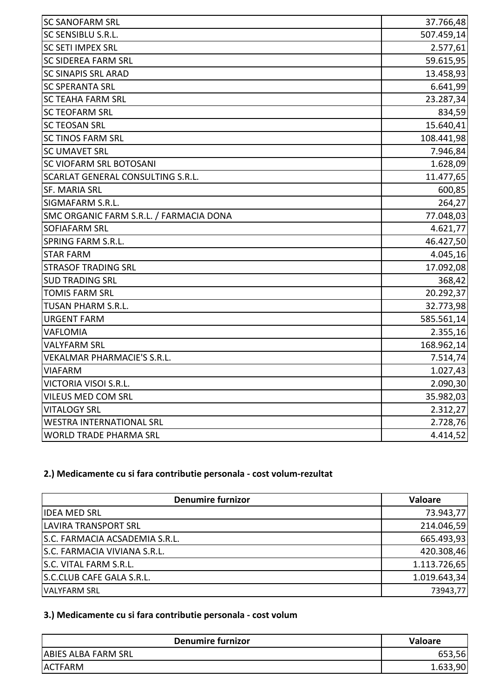| <b>SC SANOFARM SRL</b>                  | 37.766,48  |
|-----------------------------------------|------------|
| SC SENSIBLU S.R.L.                      | 507.459,14 |
| <b>SC SETI IMPEX SRL</b>                | 2.577,61   |
| <b>SC SIDEREA FARM SRL</b>              | 59.615,95  |
| <b>SC SINAPIS SRL ARAD</b>              | 13.458,93  |
| <b>SC SPERANTA SRL</b>                  | 6.641,99   |
| <b>SC TEAHA FARM SRL</b>                | 23.287,34  |
| <b>SC TEOFARM SRL</b>                   | 834,59     |
| <b>SC TEOSAN SRL</b>                    | 15.640,41  |
| <b>SC TINOS FARM SRL</b>                | 108.441,98 |
| <b>SC UMAVET SRL</b>                    | 7.946,84   |
| SC VIOFARM SRL BOTOSANI                 | 1.628,09   |
| SCARLAT GENERAL CONSULTING S.R.L.       | 11.477,65  |
| <b>SF. MARIA SRL</b>                    | 600,85     |
| SIGMAFARM S.R.L.                        | 264,27     |
| SMC ORGANIC FARM S.R.L. / FARMACIA DONA | 77.048,03  |
| <b>SOFIAFARM SRL</b>                    | 4.621,77   |
| <b>SPRING FARM S.R.L.</b>               | 46.427,50  |
| <b>STAR FARM</b>                        | 4.045,16   |
| <b>STRASOF TRADING SRL</b>              | 17.092,08  |
| <b>SUD TRADING SRL</b>                  | 368,42     |
| <b>TOMIS FARM SRL</b>                   | 20.292,37  |
| TUSAN PHARM S.R.L.                      | 32.773,98  |
| <b>URGENT FARM</b>                      | 585.561,14 |
| VAFLOMIA                                | 2.355,16   |
| <b>VALYFARM SRL</b>                     | 168.962,14 |
| VEKALMAR PHARMACIE'S S.R.L.             | 7.514,74   |
| <b>VIAFARM</b>                          | 1.027,43   |
| VICTORIA VISOI S.R.L.                   | 2.090,30   |
| VILEUS MED COM SRL                      | 35.982,03  |
| <b>VITALOGY SRL</b>                     | 2.312,27   |
| <b>WESTRA INTERNATIONAL SRL</b>         | 2.728,76   |
| <b>WORLD TRADE PHARMA SRL</b>           | 4.414,52   |
|                                         |            |

## **2.) Medicamente cu si fara contributie personala - cost volum-rezultat**

| <b>Denumire furnizor</b>       | <b>Valoare</b> |
|--------------------------------|----------------|
| <b>IDEA MED SRL</b>            | 73.943,77      |
| <b>LAVIRA TRANSPORT SRL</b>    | 214.046,59     |
| S.C. FARMACIA ACSADEMIA S.R.L. | 665.493,93     |
| S.C. FARMACIA VIVIANA S.R.L.   | 420.308,46     |
| S.C. VITAL FARM S.R.L.         | 1.113.726,65   |
| S.C.CLUB CAFE GALA S.R.L.      | 1.019.643,34   |
| VALYFARM SRL                   | 73943,77       |

## **3.) Medicamente cu si fara contributie personala - cost volum**

| <b>Denumire furnizor</b>   | Valoare  |
|----------------------------|----------|
| <b>ABIES ALBA FARM SRL</b> | 56,      |
| <b>ACTFARM</b>             | 1.633,90 |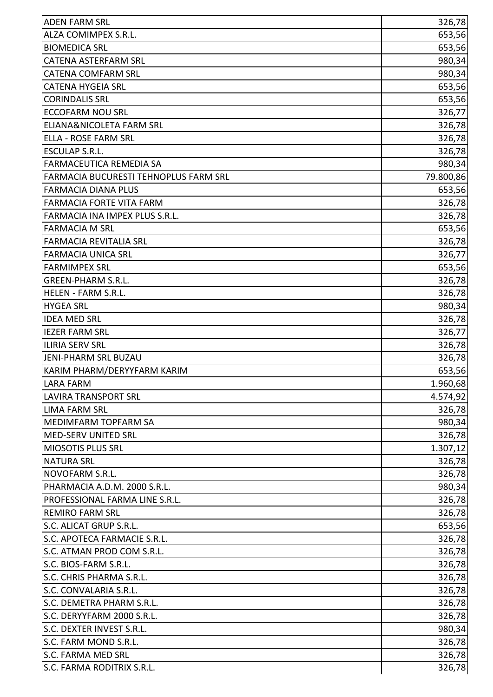| <b>ADEN FARM SRL</b>                  | 326,78    |
|---------------------------------------|-----------|
| ALZA COMIMPEX S.R.L.                  | 653,56    |
| <b>BIOMEDICA SRL</b>                  |           |
| <b>CATENA ASTERFARM SRL</b>           | 653,56    |
| <b>CATENA COMFARM SRL</b>             | 980,34    |
|                                       | 980,34    |
| <b>CATENA HYGEIA SRL</b>              | 653,56    |
| <b>CORINDALIS SRL</b>                 | 653,56    |
| <b>ECCOFARM NOU SRL</b>               | 326,77    |
| ELIANA&NICOLETA FARM SRL              | 326,78    |
| <b>ELLA - ROSE FARM SRL</b>           | 326,78    |
| <b>ESCULAP S.R.L.</b>                 | 326,78    |
| FARMACEUTICA REMEDIA SA               | 980,34    |
| FARMACIA BUCURESTI TEHNOPLUS FARM SRL | 79.800,86 |
| <b>FARMACIA DIANA PLUS</b>            | 653,56    |
| <b>FARMACIA FORTE VITA FARM</b>       | 326,78    |
| FARMACIA INA IMPEX PLUS S.R.L.        | 326,78    |
| <b>FARMACIA M SRL</b>                 | 653,56    |
| <b>FARMACIA REVITALIA SRL</b>         | 326,78    |
| <b>FARMACIA UNICA SRL</b>             | 326,77    |
| <b>FARMIMPEX SRL</b>                  | 653,56    |
| <b>GREEN-PHARM S.R.L.</b>             | 326,78    |
| HELEN - FARM S.R.L.                   | 326,78    |
| <b>HYGEA SRL</b>                      | 980,34    |
| <b>IDEA MED SRL</b>                   | 326,78    |
| <b>IEZER FARM SRL</b>                 | 326,77    |
| <b>ILIRIA SERV SRL</b>                | 326,78    |
| JENI-PHARM SRL BUZAU                  | 326,78    |
| KARIM PHARM/DERYYFARM KARIM           | 653,56    |
| LARA FARM                             | 1.960,68  |
| <b>LAVIRA TRANSPORT SRL</b>           | 4.574,92  |
| <b>LIMA FARM SRL</b>                  | 326,78    |
| MEDIMFARM TOPFARM SA                  | 980,34    |
| <b>MED-SERV UNITED SRL</b>            | 326,78    |
| MIOSOTIS PLUS SRL                     | 1.307, 12 |
| <b>NATURA SRL</b>                     | 326,78    |
| NOVOFARM S.R.L.                       | 326,78    |
| PHARMACIA A.D.M. 2000 S.R.L.          | 980,34    |
| PROFESSIONAL FARMA LINE S.R.L.        | 326,78    |
| <b>REMIRO FARM SRL</b>                | 326,78    |
| S.C. ALICAT GRUP S.R.L.               | 653,56    |
| S.C. APOTECA FARMACIE S.R.L.          | 326,78    |
| S.C. ATMAN PROD COM S.R.L.            | 326,78    |
| S.C. BIOS-FARM S.R.L.                 | 326,78    |
| S.C. CHRIS PHARMA S.R.L.              | 326,78    |
| S.C. CONVALARIA S.R.L.                | 326,78    |
| S.C. DEMETRA PHARM S.R.L.             | 326,78    |
| S.C. DERYYFARM 2000 S.R.L.            | 326,78    |
| S.C. DEXTER INVEST S.R.L.             | 980,34    |
| S.C. FARM MOND S.R.L.                 | 326,78    |
| S.C. FARMA MED SRL                    | 326,78    |
| S.C. FARMA RODITRIX S.R.L.            | 326,78    |
|                                       |           |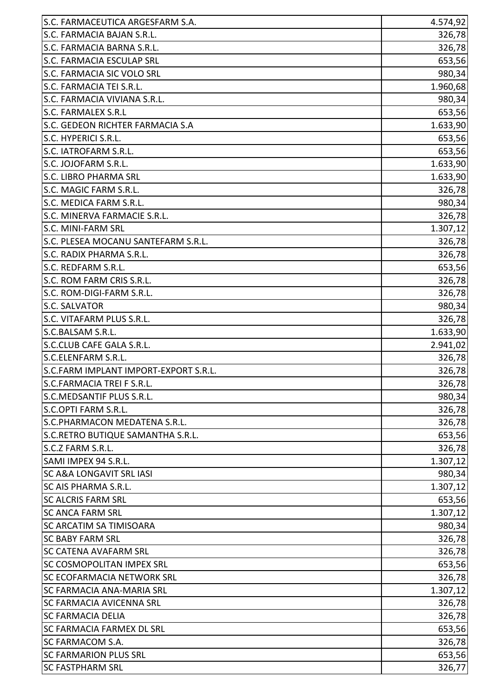| S.C. FARMACEUTICA ARGESFARM S.A.      | 4.574,92  |
|---------------------------------------|-----------|
| S.C. FARMACIA BAJAN S.R.L.            | 326,78    |
| S.C. FARMACIA BARNA S.R.L.            | 326,78    |
| <b>S.C. FARMACIA ESCULAP SRL</b>      | 653,56    |
| S.C. FARMACIA SIC VOLO SRL            | 980,34    |
| S.C. FARMACIA TEI S.R.L.              | 1.960,68  |
| S.C. FARMACIA VIVIANA S.R.L.          | 980,34    |
| <b>S.C. FARMALEX S.R.L</b>            | 653,56    |
| S.C. GEDEON RICHTER FARMACIA S.A      | 1.633,90  |
| S.C. HYPERICI S.R.L.                  | 653,56    |
| S.C. IATROFARM S.R.L.                 | 653,56    |
| S.C. JOJOFARM S.R.L.                  | 1.633,90  |
| <b>S.C. LIBRO PHARMA SRL</b>          | 1.633,90  |
| S.C. MAGIC FARM S.R.L.                | 326,78    |
| S.C. MEDICA FARM S.R.L.               | 980,34    |
| S.C. MINERVA FARMACIE S.R.L.          | 326,78    |
| S.C. MINI-FARM SRL                    | 1.307,12  |
| S.C. PLESEA MOCANU SANTEFARM S.R.L.   | 326,78    |
| S.C. RADIX PHARMA S.R.L.              | 326,78    |
| S.C. REDFARM S.R.L.                   | 653,56    |
| S.C. ROM FARM CRIS S.R.L.             | 326,78    |
| S.C. ROM-DIGI-FARM S.R.L.             | 326,78    |
| <b>S.C. SALVATOR</b>                  | 980,34    |
| S.C. VITAFARM PLUS S.R.L.             | 326,78    |
| S.C.BALSAM S.R.L.                     | 1.633,90  |
| S.C.CLUB CAFE GALA S.R.L.             | 2.941,02  |
| S.C.ELENFARM S.R.L.                   | 326,78    |
| S.C.FARM IMPLANT IMPORT-EXPORT S.R.L. | 326,78    |
| <b>S.C.FARMACIA TREIF S.R.L.</b>      | 326,78    |
| S.C.MEDSANTIF PLUS S.R.L.             | 980,34    |
| S.C.OPTI FARM S.R.L.                  | 326,78    |
| S.C.PHARMACON MEDATENA S.R.L.         | 326,78    |
| S.C.RETRO BUTIQUE SAMANTHA S.R.L.     | 653,56    |
| S.C.Z FARM S.R.L.                     | 326,78    |
| SAMI IMPEX 94 S.R.L.                  | 1.307, 12 |
| <b>SC A&amp;A LONGAVIT SRL IASI</b>   | 980,34    |
| SC AIS PHARMA S.R.L.                  | 1.307, 12 |
| <b>SC ALCRIS FARM SRL</b>             | 653,56    |
| <b>SC ANCA FARM SRL</b>               | 1.307, 12 |
| <b>SC ARCATIM SA TIMISOARA</b>        | 980,34    |
| <b>SC BABY FARM SRL</b>               | 326,78    |
| <b>SC CATENA AVAFARM SRL</b>          | 326,78    |
| <b>SC COSMOPOLITAN IMPEX SRL</b>      | 653,56    |
| <b>SC ECOFARMACIA NETWORK SRL</b>     | 326,78    |
| <b>SC FARMACIA ANA-MARIA SRL</b>      | 1.307, 12 |
| <b>SC FARMACIA AVICENNA SRL</b>       | 326,78    |
| <b>SC FARMACIA DELIA</b>              | 326,78    |
| <b>SC FARMACIA FARMEX DL SRL</b>      | 653,56    |
| <b>SC FARMACOM S.A.</b>               | 326,78    |
| <b>SC FARMARION PLUS SRL</b>          | 653,56    |
| <b>SC FASTPHARM SRL</b>               | 326,77    |